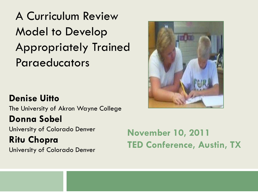A Curriculum Review Model to Develop Appropriately Trained Paraeducators

#### **Denise Uitto**

The University of Akron Wayne College

#### **Donna Sobel**

University of Colorado Denver **Ritu Chopra** University of Colorado Denver

**November 10, 2011 TED Conference, Austin, TX**

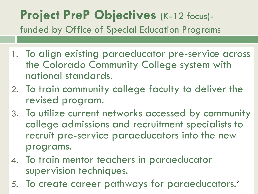#### **Project PreP Objectives** (K-12 focus) funded by Office of Special Education Programs

- 1. To align existing paraeducator pre-service across the Colorado Community College system with national standards.
- 2. To train community college faculty to deliver the revised program.
- 3. To utilize current networks accessed by community college admissions and recruitment specialists to recruit pre-service paraeducators into the new programs.
- 4. To train mentor teachers in paraeducator supervision techniques.
- 5. To create career pathways for paraeducators.**<sup>2</sup>**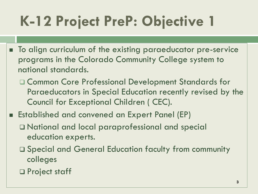# **K-12 Project PreP: Objective 1**

- To align curriculum of the existing paraeducator pre-service programs in the Colorado Community College system to national standards.
	- Common Core Professional Development Standards for Paraeducators in Special Education recently revised by the Council for Exceptional Children ( CEC).
- Established and convened an Expert Panel (EP)
	- National and local paraprofessional and special education experts.
	- Special and General Education faculty from community colleges
	- □ Project staff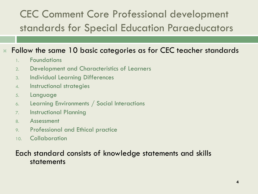#### CEC Comment Core Professional development standards for Special Education Paraeducators

#### Follow the same 10 basic categories as for CEC teacher standards

- 1. Foundations
- 2. Development and Characteristics of Learners
- 3. Individual Learning Differences
- 4. Instructional strategies
- 5. Language
- 6. Learning Environments / Social Interactions
- 7. Instructional Planning
- 8. Assessment
- 9. Professional and Ethical practice
- 10. Collaboration

#### Each standard consists of knowledge statements and skills statements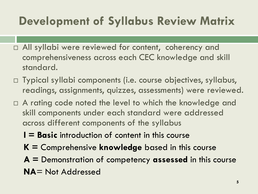### **Development of Syllabus Review Matrix**

- All syllabi were reviewed for content, coherency and comprehensiveness across each CEC knowledge and skill standard.
- □ Typical syllabi components (i.e. course objectives, syllabus, readings, assignments, quizzes, assessments) were reviewed.
- $\Box$  A rating code noted the level to which the knowledge and skill components under each standard were addressed across different components of the syllabus
	- **I = Basic** introduction of content in this course
	- **K =** Comprehensive **knowledge** based in this course
	- **A =** Demonstration of competency **assessed** in this course **NA**= Not Addressed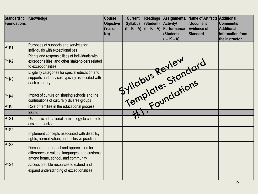| Standard 1:<br>Foundations    | Knowledge                                                                                                                      | <b>Course</b><br><b>Objective</b><br>(Yes or<br>No) | <b>Current</b><br><b>Syllabus</b><br>$(I - K - A)$ $ (I - K - A) $ | <b>Readings</b><br>(Student) | Assignments/<br>Activity/<br>Performance<br>(Student)<br>$(I - K - A)$ | Name of Artifacts Additional<br><b>Document</b><br>Evidence of<br>Standard | <b>Comments/</b><br>Additional<br>Information from<br>the instructor |
|-------------------------------|--------------------------------------------------------------------------------------------------------------------------------|-----------------------------------------------------|--------------------------------------------------------------------|------------------------------|------------------------------------------------------------------------|----------------------------------------------------------------------------|----------------------------------------------------------------------|
| P <sub>1K1</sub>              | Purposes of supports and services for<br>individuals with exceptionalities                                                     |                                                     |                                                                    |                              |                                                                        |                                                                            |                                                                      |
| P <sub>1</sub> K <sub>2</sub> | Rights and responsibilities of individuals with<br>exceptionalities, and other stakeholders related<br>to exceptionalities     |                                                     |                                                                    |                              |                                                                        |                                                                            |                                                                      |
| P1K3                          | Eligibility categories for special education and<br>supports and services typically associated with<br>each category           |                                                     |                                                                    |                              |                                                                        | Femplate: Standard                                                         |                                                                      |
| P1K4                          | Impact of culture on shaping schools and the<br>contributions of culturally diverse groups                                     |                                                     |                                                                    |                              |                                                                        |                                                                            |                                                                      |
| P <sub>1</sub> K <sub>5</sub> | Role of families in the educational process                                                                                    |                                                     |                                                                    |                              |                                                                        |                                                                            |                                                                      |
|                               | <b>Skills</b>                                                                                                                  |                                                     |                                                                    |                              |                                                                        |                                                                            |                                                                      |
| P <sub>1</sub> S <sub>1</sub> | Use basic educational terminology to complete<br>assigned tasks                                                                |                                                     |                                                                    |                              |                                                                        |                                                                            |                                                                      |
| $P$ 1S2                       | Implement concepts associated with disability<br>rights, normalization, and inclusive practices                                |                                                     |                                                                    |                              |                                                                        |                                                                            |                                                                      |
| $P$ 1S3                       | Demonstrate respect and appreciation for<br>differences in values, languages, and customs<br>among home, school, and community |                                                     |                                                                    |                              |                                                                        |                                                                            |                                                                      |
| $P$ <sup>1</sup> S4           | Access credible resources to extend and<br>expand understanding of exceptionalities                                            |                                                     |                                                                    |                              |                                                                        |                                                                            |                                                                      |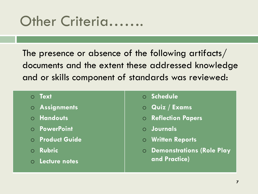### Other Criteria…….

The presence or absence of the following artifacts/ documents and the extent these addressed knowledge and or skills component of standards was reviewed:

#### o **Text**

- o **Assignments**
- o **Handouts**
- o **PowerPoint**
- o **Product Guide**
- o **Rubric**
- o **Lecture notes**
- o **Schedule**
- o **Quiz / Exams**
- o **Reflection Papers**
- o **Journals**
- o **Written Reports**
- o **Demonstrations (Role Play and Practice)**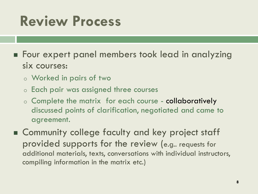# **Review Process**

- **Four expert panel members took lead in analyzing** six courses:
	- o Worked in pairs of two
	- o Each pair was assigned three courses
	- o Complete the matrix for each course collaboratively discussed points of clarification, negotiated and came to agreement.
- Community college faculty and key project staff provided supports for the review (e.g.. requests for additional materials, texts, conversations with individual instructors, compiling information in the matrix etc.)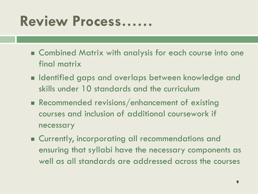## **Review Process……**

- **E** Combined Matrix with analysis for each course into one final matrix
- **In Identified gaps and overlaps between knowledge and** skills under 10 standards and the curriculum
- Recommended revisions/enhancement of existing courses and inclusion of additional coursework if necessary
- **Example 2 Currently, incorporating all recommendations and** ensuring that syllabi have the necessary components as well as all standards are addressed across the courses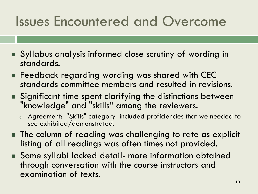## Issues Encountered and Overcome

- Syllabus analysis informed close scrutiny of wording in standards.
- **Feedback regarding wording was shared with CEC** standards committee members and resulted in revisions.
- Significant time spent clarifying the distinctions between "knowledge" and "skills" among the reviewers.
	- Agreement: "Skills" category included proficiencies that we needed to see exhibited/demonstrated.
- **The column of reading was challenging to rate as explicit** listing of all readings was often times not provided.
- Some syllabi lacked detail- more information obtained through conversation with the course instructors and examination of texts.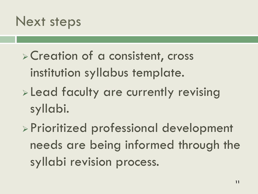### Next steps

- Creation of a consistent, cross institution syllabus template.
- **Lead faculty are currently revising** syllabi.
- Prioritized professional development needs are being informed through the syllabi revision process.